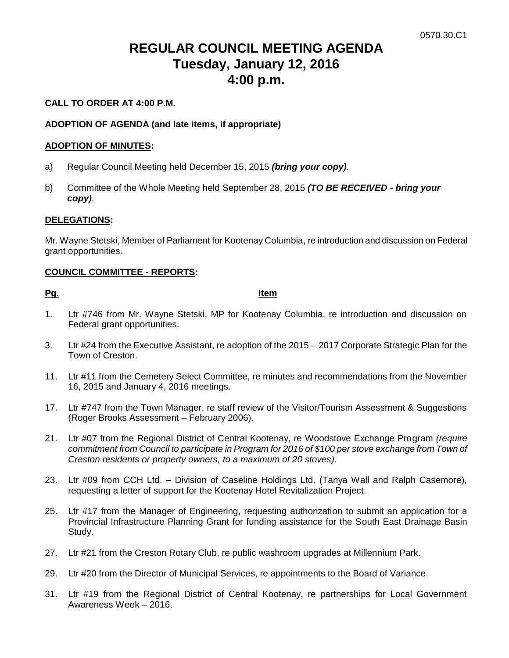# **REGULAR COUNCIL MEETING AGENDA Tuesday, January 12, 2016 4:00 p.m.**

# **CALL TO ORDER AT 4:00 P.M.**

# **ADOPTION OF AGENDA (and late items, if appropriate)**

#### **ADOPTION OF MINUTES:**

- a) Regular Council Meeting held December 15, 2015 *(bring your copy)*.
- b) Committee of the Whole Meeting held September 28, 2015 *(TO BE RECEIVED - bring your copy)*.

#### **DELEGATIONS:**

Mr. Wayne Stetski, Member of Parliament for Kootenay Columbia, re introduction and discussion on Federal grant opportunities.

#### **COUNCIL COMMITTEE - REPORTS:**

**Pg. Item**

- 1. Ltr #746 from Mr. Wayne Stetski, MP for Kootenay Columbia, re introduction and discussion on Federal grant opportunities.
- 3. Ltr #24 from the Executive Assistant, re adoption of the 2015 2017 Corporate Strategic Plan for the Town of Creston.
- 11. Ltr #11 from the Cemetery Select Committee, re minutes and recommendations from the November 16, 2015 and January 4, 2016 meetings.
- 17. Ltr #747 from the Town Manager, re staff review of the Visitor/Tourism Assessment & Suggestions (Roger Brooks Assessment – February 2006).
- 21. Ltr #07 from the Regional District of Central Kootenay, re Woodstove Exchange Program *(require commitment from Council to participate in Program for 2016 of \$100 per stove exchange from Town of Creston residents or property owners, to a maximum of 20 stoves)*.
- 23. Ltr #09 from CCH Ltd. Division of Caseline Holdings Ltd. (Tanya Wall and Ralph Casemore), requesting a letter of support for the Kootenay Hotel Revitalization Project.
- 25. Ltr #17 from the Manager of Engineering, requesting authorization to submit an application for a Provincial Infrastructure Planning Grant for funding assistance for the South East Drainage Basin Study.
- 27. Ltr #21 from the Creston Rotary Club, re public washroom upgrades at Millennium Park.
- 29. Ltr #20 from the Director of Municipal Services, re appointments to the Board of Variance.
- 31. Ltr #19 from the Regional District of Central Kootenay, re partnerships for Local Government Awareness Week – 2016.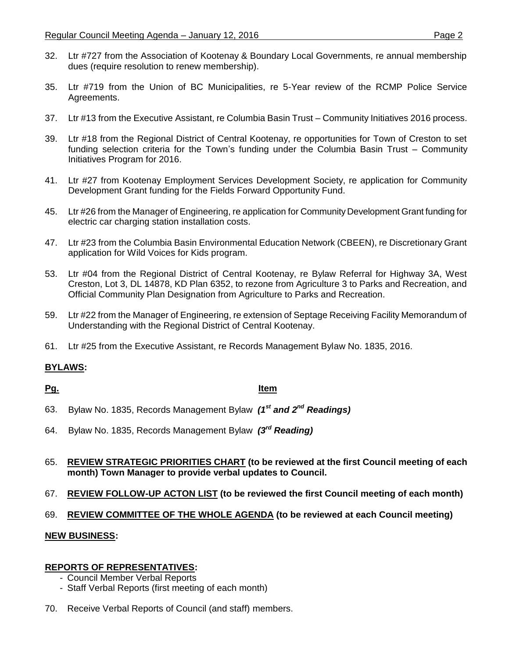- 32. Ltr #727 from the Association of Kootenay & Boundary Local Governments, re annual membership dues (require resolution to renew membership).
- 35. Ltr #719 from the Union of BC Municipalities, re 5-Year review of the RCMP Police Service Agreements.
- 37. Ltr #13 from the Executive Assistant, re Columbia Basin Trust Community Initiatives 2016 process.
- 39. Ltr #18 from the Regional District of Central Kootenay, re opportunities for Town of Creston to set funding selection criteria for the Town's funding under the Columbia Basin Trust – Community Initiatives Program for 2016.
- 41. Ltr #27 from Kootenay Employment Services Development Society, re application for Community Development Grant funding for the Fields Forward Opportunity Fund.
- 45. Ltr #26 from the Manager of Engineering, re application for Community Development Grant funding for electric car charging station installation costs.
- 47. Ltr #23 from the Columbia Basin Environmental Education Network (CBEEN), re Discretionary Grant application for Wild Voices for Kids program.
- 53. Ltr #04 from the Regional District of Central Kootenay, re Bylaw Referral for Highway 3A, West Creston, Lot 3, DL 14878, KD Plan 6352, to rezone from Agriculture 3 to Parks and Recreation, and Official Community Plan Designation from Agriculture to Parks and Recreation.
- 59. Ltr #22 from the Manager of Engineering, re extension of Septage Receiving Facility Memorandum of Understanding with the Regional District of Central Kootenay.
- 61. Ltr #25 from the Executive Assistant, re Records Management Bylaw No. 1835, 2016.

# **BYLAWS:**

# **Pg. Item**

- 63. Bylaw No. 1835, Records Management Bylaw *(1st and 2nd Readings)*
- 64. Bylaw No. 1835, Records Management Bylaw *(3rd Reading)*
- 65. **REVIEW STRATEGIC PRIORITIES CHART (to be reviewed at the first Council meeting of each month) Town Manager to provide verbal updates to Council.**
- 67. **REVIEW FOLLOW-UP ACTON LIST (to be reviewed the first Council meeting of each month)**
- 69. **REVIEW COMMITTEE OF THE WHOLE AGENDA (to be reviewed at each Council meeting)**

# **NEW BUSINESS:**

#### **REPORTS OF REPRESENTATIVES:**

- Council Member Verbal Reports
- Staff Verbal Reports (first meeting of each month)
- 70. Receive Verbal Reports of Council (and staff) members.